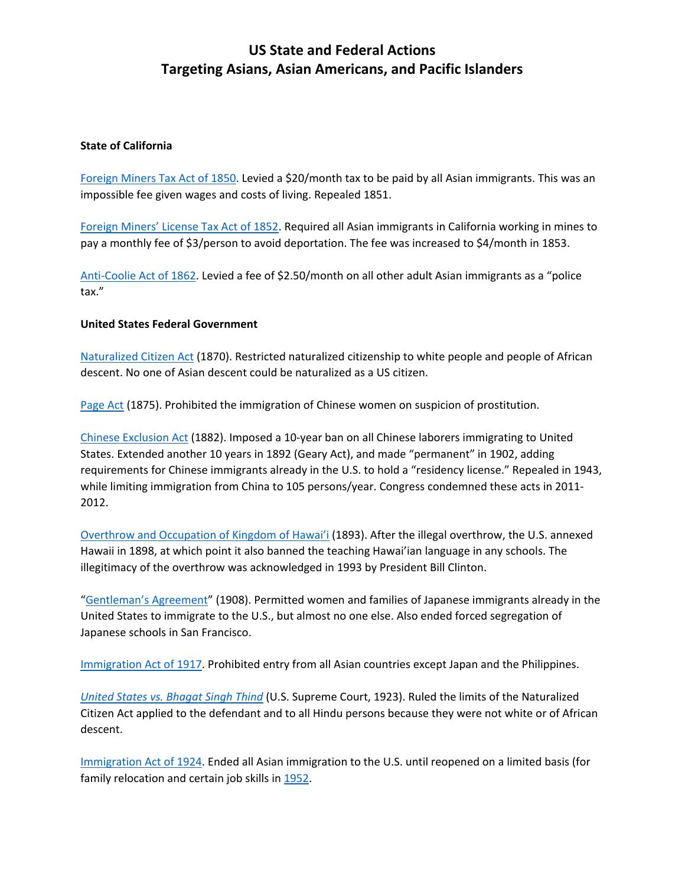## **US State and Federal Actions Targeting Asians, Asian Americans, and Pacific Islanders**

## **State of California**

[Foreign Miners Tax Act of 1850.](https://history.hanover.edu/courses/excerpts/260miners.html) Levied a \$20/month tax to be paid by all Asian immigrants. This was an impossible fee given wages and costs of living. Repealed 1851.

[Foreign Miners' License Tax Act of 1852.](https://history.hanover.edu/courses/excerpts/260miners.html) Required all Asian immigrants in California working in mines to pay a monthly fee of \$3/person to avoid deportation. The fee was increased to \$4/month in 1853.

[Anti-Coolie Act of 1862.](https://loveman.sdsu.edu/docs/1862Californiaanticoolieact.pdf) Levied a fee of \$2.50/month on all other adult Asian immigrants as a "police tax."

## **United States Federal Government**

[Naturalized Citizen Act](https://immigrationhistory.org/item/naturalization-act-of-1870/) (1870). Restricted naturalized citizenship to white people and people of African descent. No one of Asian descent could be naturalized as a US citizen.

[Page Act](https://www.history.com/news/chinese-immigration-page-act-women) (1875). Prohibited the immigration of Chinese women on suspicion of prostitution.

[Chinese Exclusion Act](https://www.archives.gov/milestone-documents/chinese-exclusion-act) (1882). Imposed a 10-year ban on all Chinese laborers immigrating to United States. Extended another 10 years in 1892 (Geary Act), and made "permanent" in 1902, adding requirements for Chinese immigrants already in the U.S. to hold a "residency license." Repealed in 1943, while limiting immigration from China to 105 persons/year. Congress condemned these acts in 2011-2012.

[Overthrow and Occupation of Kingdom of Hawai'i](https://ulukau.org/elib/cgi-bin/library?e=d-0kingdom3-000Sec--11en-50-20-frameset-book--1-010escapewin&a=d&d=D0.22&toc=0) (1893). After the illegal overthrow, the U.S. annexed Hawaii in 1898, at which point it also banned the teaching Hawai'ian language in any schools. The illegitimacy of the overthrow was acknowledged in 1993 by President Bill Clinton.

["Gentleman's Agreement"](https://www.history.com/topics/immigration/gentlemens-agreement) (1908). Permitted women and families of Japanese immigrants already in the United States to immigrate to the U.S., but almost no one else. Also ended forced segregation of Japanese schools in San Francisco.

[Immigration Act of 1917.](https://history.state.gov/milestones/1921-1936/immigration-act) Prohibited entry from all Asian countries except Japan and the Philippines.

*[United States vs. Bhagat Singh Thind](https://supreme.justia.com/cases/federal/us/261/204/)* (U.S. Supreme Court, 1923). Ruled the limits of the Naturalized Citizen Act applied to the defendant and to all Hindu persons because they were not white or of African descent.

[Immigration Act of 1924.](https://history.state.gov/milestones/1921-1936/immigration-act) Ended all Asian immigration to the U.S. until reopened on a limited basis (for family relocation and certain job skills in [1952.](https://history.state.gov/milestones/1945-1952/immigration-act)